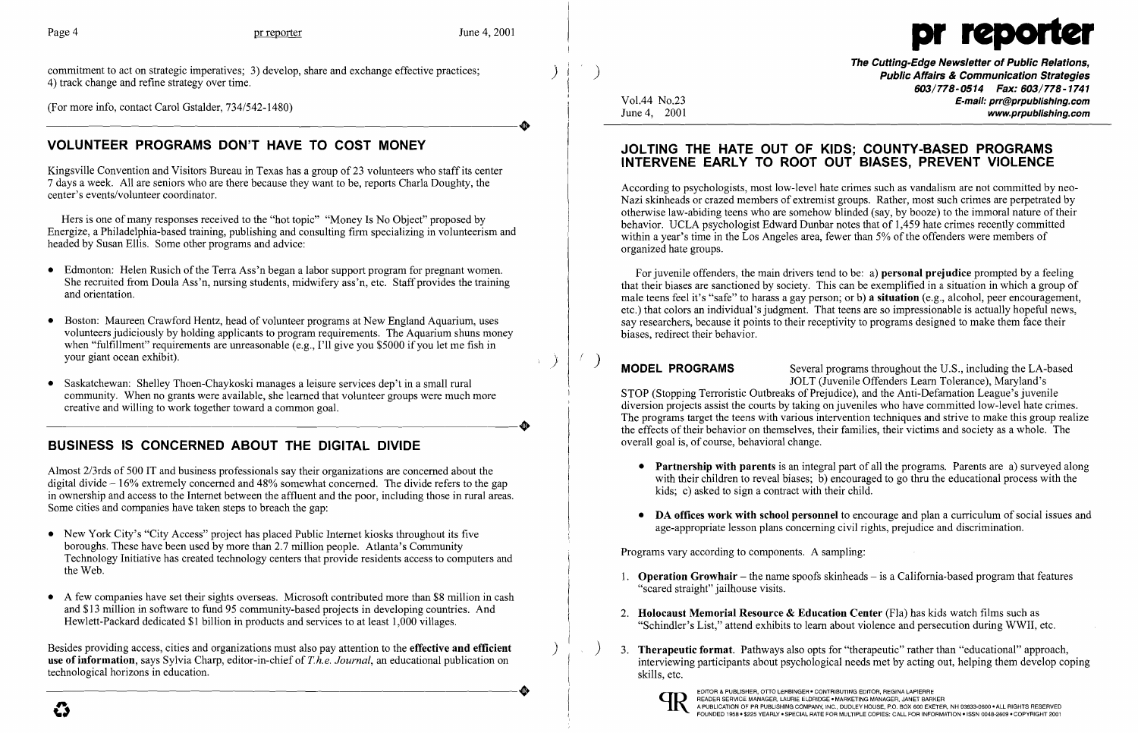

(For more info, contact Carol Gstalder, 734/542-1480) (For more info, contact Carol Gstalder,  $734/542-1480$ )

commitment to act on strategic imperatives; 3) develop, share and exchange effective practices; 4) track change and refine strategy over time.

Hers is one of many responses received to the "hot topic" "Money Is No Object" proposed by Energize, a Philadelphia-based training, publishing and consulting firm specializing in volunteerism and headed by Susan Ellis. Some other programs and advice:

# VOLUNTEER PROGRAMS DON'T HAVE TO COST MONEY

Kingsville Convention and Visitors Bureau in Texas has a group of 23 volunteers who staff its center 7 days a week. All are seniors who are there because they want to be, reports Charla Doughty, the center's events/volunteer coordinator.

- Edmonton: Helen Rusich of the Terra Ass'n began a labor support program for pregnant women. She recruited from Doula Ass'n, nursing students, midwifery ass'n, etc. Staff provides the training and orientation.
- Boston: Maureen Crawford Hentz, head of volunteer programs at New England Aquarium, uses volunteers judiciously by holding applicants to program requirements. The Aquarium shuns money when "fulfillment" requirements are unreasonable (e.g., I'll give you \$5000 if you let me fish in your giant ocean exhibit).
- Saskatchewan: Shelley Thoen-Chaykoski manages a leisure services dep't in a small rural community. When no grants were available, she learned that volunteer groups were much more creative and willing to work together toward a common goal. creative and willing to work together toward a common goal.

 $\mathbf{I}$ I I

)  $\ddot{\phantom{0}}$ 

 $\mathcal{R}^{\mathcal{A}}$ 

# BUSINESS IS CONCERNED ABOUT THE DIGITAL DIVIDE

Almost 2/3rds of 500 IT and business professionals say their organizations are concerned about the digital divide  $-16\%$  extremely concerned and 48% somewhat concerned. The divide refers to the gap in ownership and access to the Internet between the affluent and the poor, including those in rural areas. Some cities and companies have taken steps to breach the gap:

- New York City's "City Access" project has placed Public Internet kiosks throughout its five boroughs. These have been used by more than 2.7 million people. Atlanta's Community Technology Initiative has created technology centers that provide residents access to computers and the Web.
- A few companies have set their sights overseas. Microsoft contributed more than \$8 million in cash and \$13 million in software to fund 95 community-based projects in developing countries. And Hewlett-Packard dedicated \$1 billion in products and services to at least 1,000 villages.

 $\overline{M}$  **MODEL PROGRAMS** Several programs throughout the U.S., including the LA-based JOLT (Juvenile Offenders Learn Tolerance), Maryland's STOP (Stopping Terroristic Outbreaks of Prejudice), and the Anti-Defamation League's juvenile diversion projects assist the courts by taking on juveniles who have committed low-level hate crimes. The programs target the teens with various intervention techniques and strive to make this group realize the effects of their behavior on themselves, their families, their victims and society as a whole. The overall goal is, of course, behavioral change.

> • Partnership with parents is an integral part of all the programs. Parents are a) surveyed along with their children to reveal biases; b) encouraged to go thru the educational process with the

> • DA offices work with school personnel to encourage and plan a curriculum of social issues and

1. **Operation Growhair** – the name spoofs skinheads – is a California-based program that features

Besides providing access, cities and organizations must also pay attention to the effective and efficient use ofinformation, says Sylvia Charp, editor-in-chief of *T.h.e. Journal,* an educational publication on ----------------------+ EDITOR & PUBLISHER, OTTO LERBINGER 0 CONTRIBUTING EDITOR, REGINA LAPIERRE on READER SERVICE MANAGER, LAURIE ELDRIDGE 0 MARKETING MANAGER, JANET BARKER technological horizons in education.

Vol.44 No.23 June 4, 2001

 $)$   $\left($   $\right)$ 

3. Therapeutic format. Pathways also opts for "therapeutic" rather than "educational" approach, interviewing participants about psychological needs met by acting out, helping them develop coping

The Cutting-Edge Newsletter of Public Relations, Public Affairs & Communication Strategies 603/778-0514 Fax: 603/778-1741 E-mail: prr@prpublishing.com www.prpublishing.com

## JOLTING THE HATE OUT OF KIDS; COUNTY-BASED PROGRAMS INTERVENE EARLY TO ROOT OUT BIASES, PREVENT VIOLENCE

According to psychologists, most low-level hate crimes such as vandalism are not committed by neo-Nazi skinheads or crazed members of extremist groups. Rather, most such crimes are perpetrated by otherwise law-abiding teens who are somehow blinded (say, by booze) to the immoral nature oftheir behavior. UCLA psychologist Edward Dunbar notes that of 1,459 hate crimes recently committed within a year's time in the Los Angeles area, fewer than 5% of the offenders were members of organized hate groups.

For juvenile offenders, the main drivers tend to be: a) personal prejudice prompted by a feeling that their biases are sanctioned by society. This can be exemplified in a situation in which a group of male teens feel it's "safe" to harass a gay person; or b) a situation (e.g., alcohol, peer encouragement, etc.) that colors an individual's judgment. That teens are so impressionable is actually hopeful news, say researchers, because it points to their receptivity to programs designed to make them face their biases, redirect their behavior.

- kids; c) asked to sign a contract with their child.
- age-appropriate lesson plans concerning civil rights, prejudice and discrimination.

Programs vary according to components. A sampling:

"Schindler's List," attend exhibits to learn about violence and persecution during WWII, etc.

- "scared straight" jailhouse visits.
- 2. Holocaust Memorial Resource & Education Center (Fla) has kids watch films such as
- skills, etc.



)